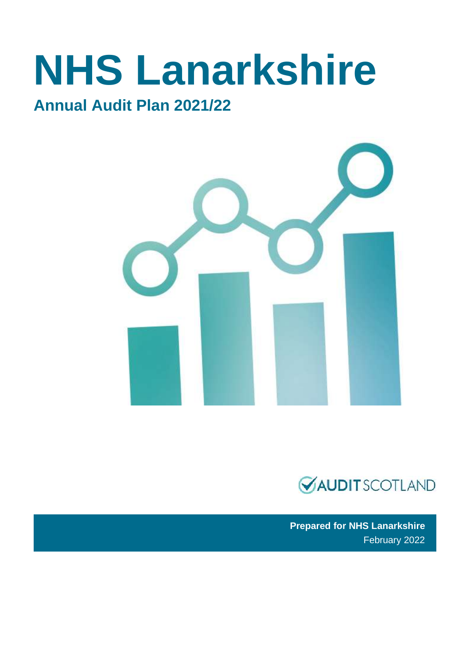# **NHS Lanarkshire**

### **Annual Audit Plan 2021/22**





 **Prepared for NHS Lanarkshire**  February 2022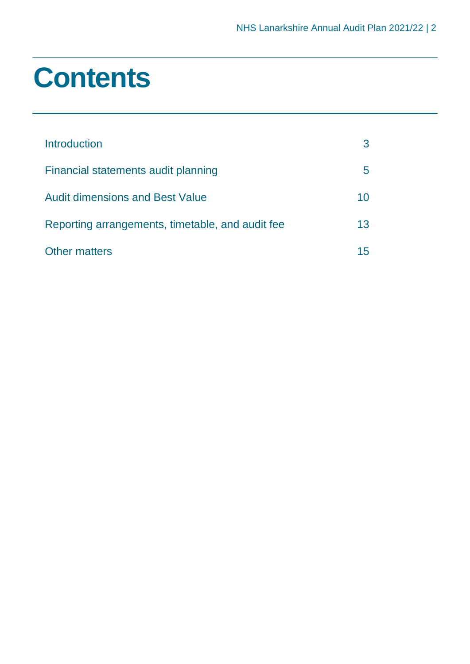### **Contents**

| Introduction                                     |    |
|--------------------------------------------------|----|
| Financial statements audit planning              | b  |
| <b>Audit dimensions and Best Value</b>           | 10 |
| Reporting arrangements, timetable, and audit fee | 13 |
| <b>Other matters</b>                             |    |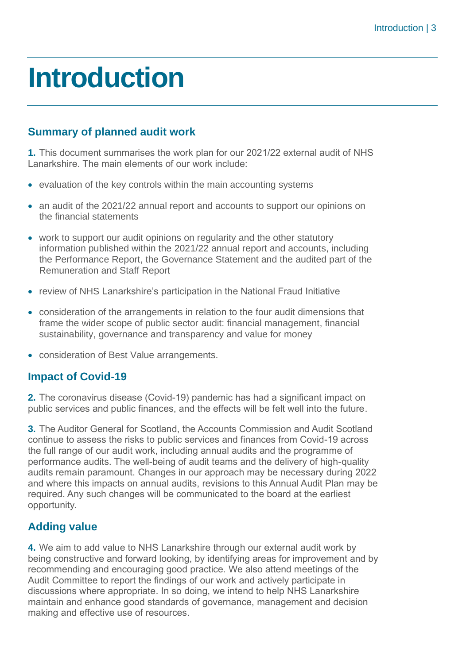### <span id="page-2-0"></span>**Introduction**

### **Summary of planned audit work**

 **1.** This document summarises the work plan for our 2021/22 external audit of NHS Lanarkshire. The main elements of our work include:

- evaluation of the key controls within the main accounting systems
- an audit of the 2021/22 annual report and accounts to support our opinions on the financial statements
- • work to support our audit opinions on regularity and the other statutory information published within the 2021/22 annual report and accounts, including the Performance Report, the Governance Statement and the audited part of the Remuneration and Staff Report
- review of NHS Lanarkshire's participation in the National Fraud Initiative
- • consideration of the arrangements in relation to the four audit dimensions that frame the wider scope of public sector audit: financial management, financial sustainability, governance and transparency and value for money
- consideration of Best Value arrangements.

### **Impact of Covid-19**

 **2.** The coronavirus disease (Covid-19) pandemic has had a significant impact on public services and public finances, and the effects will be felt well into the future.

 **3.** The Auditor General for Scotland, the Accounts Commission and Audit Scotland continue to assess the risks to public services and finances from Covid-19 across the full range of our audit work, including annual audits and the programme of performance audits. The well-being of audit teams and the delivery of high-quality audits remain paramount. Changes in our approach may be necessary during 2022 and where this impacts on annual audits, revisions to this Annual Audit Plan may be required. Any such changes will be communicated to the board at the earliest opportunity.

### **Adding value**

 **4.** We aim to add value to NHS Lanarkshire through our external audit work by being constructive and forward looking, by identifying areas for improvement and by recommending and encouraging good practice. We also attend meetings of the Audit Committee to report the findings of our work and actively participate in discussions where appropriate. In so doing, we intend to help NHS Lanarkshire maintain and enhance good standards of governance, management and decision making and effective use of resources.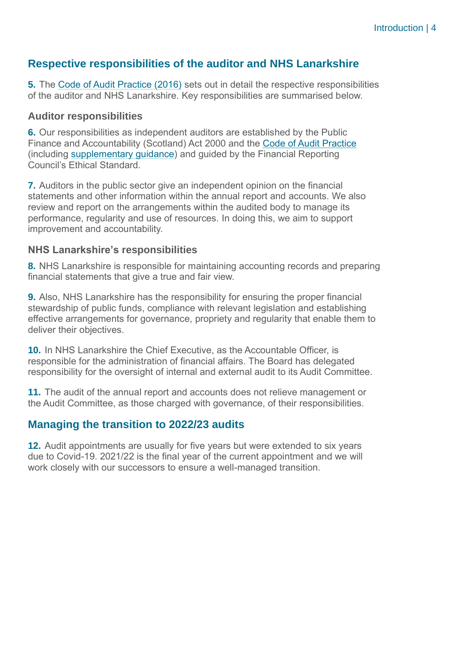### **Respective responsibilities of the auditor and NHS Lanarkshire**

**5.** The Code of Audit [Practice](https://www.audit-scotland.gov.uk/uploads/docs/report/2016/code_audit_practice_16_0.pdf) (2016) sets out in detail the respective responsibilities of the auditor and NHS Lanarkshire. Key responsibilities are summarised below.

### **Auditor responsibilities**

Finance and Accountability (Scotland) Act 2000 and the Code of Audit [Practice](https://www.audit-scotland.gov.uk/uploads/docs/report/2016/code_audit_practice_16_0.pdf) (including [supplementary guidance\)](https://www.audit-scotland.gov.uk/uploads/docs/um/code_audit_guidance_16_supp.pdf) and guided by the Financial Reporting Council's Ethical Standard. **6.** Our responsibilities as independent auditors are established by the Public

 **7.** Auditors in the public sector give an independent opinion on the financial statements and other information within the annual report and accounts. We also review and report on the arrangements within the audited body to manage its performance, regularity and use of resources. In doing this, we aim to support improvement and accountability.

### **NHS Lanarkshire's responsibilities**

 **8.** NHS Lanarkshire is responsible for maintaining accounting records and preparing financial statements that give a true and fair view.

 **9.** Also, NHS Lanarkshire has the responsibility for ensuring the proper financial stewardship of public funds, compliance with relevant legislation and establishing effective arrangements for governance, propriety and regularity that enable them to deliver their objectives.

 **10.** In NHS Lanarkshire the Chief Executive, as the Accountable Officer, is responsible for the administration of financial affairs. The Board has delegated responsibility for the oversight of internal and external audit to its Audit Committee.

 **11.** The audit of the annual report and accounts does not relieve management or the Audit Committee, as those charged with governance, of their responsibilities.

### **Managing the transition to 2022/23 audits**

 **12.** Audit appointments are usually for five years but were extended to six years due to Covid-19. 2021/22 is the final year of the current appointment and we will work closely with our successors to ensure a well-managed transition.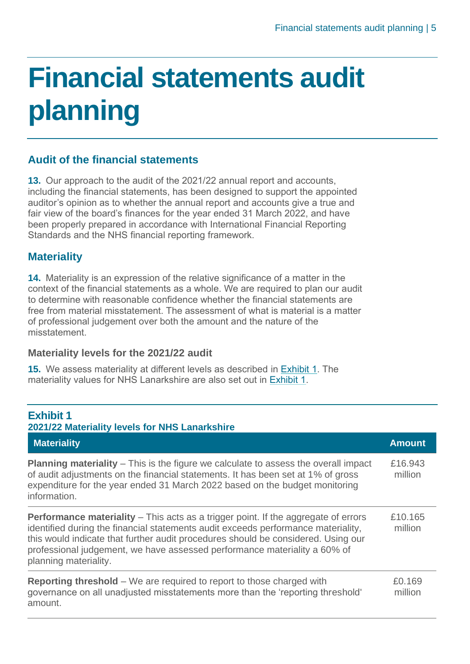# <span id="page-4-0"></span> **Financial statements audit planning**

### **Audit of the financial statements**

 **13.** Our approach to the audit of the 2021/22 annual report and accounts, including the financial statements, has been designed to support the appointed auditor's opinion as to whether the annual report and accounts give a true and fair view of the board's finances for the year ended 31 March 2022, and have been properly prepared in accordance with International Financial Reporting Standards and the NHS financial reporting framework.

### **Materiality**

 **14.** Materiality is an expression of the relative significance of a matter in the context of the financial statements as a whole. We are required to plan our audit to determine with reasonable confidence whether the financial statements are free from material misstatement. The assessment of what is material is a matter of professional judgement over both the amount and the nature of the misstatement.

### **Materiality levels for the 2021/22 audit**

 **15.** We assess materiality at different levels as described in [Exhibit](#page-4-1) 1. The materiality values for NHS Lanarkshire are also set out in [Exhibit](#page-4-1) 1.

### <span id="page-4-1"></span> **2021/22 Materiality levels for NHS Lanarkshire Exhibit 1 Materiality Amount Amount Amount Amount Amount Amount Amount Amount Amount Amount**

**Planning materiality** – This is the figure we calculate to assess the overall impact £16.943 of audit adjustments on the financial statements. It has been set at 1% of gross million expenditure for the year ended 31 March 2022 based on the budget monitoring information.

**Performance materiality** – This acts as a trigger point. If the aggregate of errors identified during the financial statements audit exceeds performance materiality, this would indicate that further audit procedures should be considered. Using our professional judgement, we have assessed performance materiality a 60% of planning materiality. £10.165 million

| <b>Reporting threshold</b> – We are required to report to those charged with   | £0.169  |
|--------------------------------------------------------------------------------|---------|
| governance on all unadjusted misstatements more than the 'reporting threshold' | million |
| amount.                                                                        |         |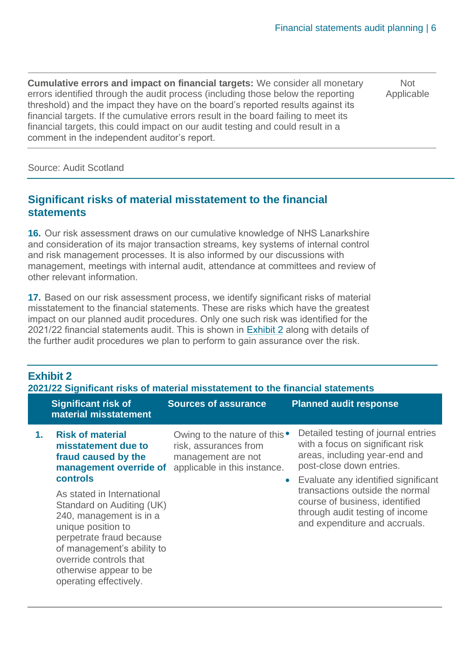**Cumulative errors and impact on financial targets:** We consider all monetary Mot errors identified through the audit process (including those below the reporting Applicable threshold) and the impact they have on the board's reported results against its financial targets. If the cumulative errors result in the board failing to meet its financial targets, this could impact on our audit testing and could result in a comment in the independent auditor's report.

Source: Audit Scotland

### **Significant risks of material misstatement to the financial statements**

 **16.** Our risk assessment draws on our cumulative knowledge of NHS Lanarkshire and consideration of its major transaction streams, key systems of internal control management, meetings with internal audit, attendance at committees and review of and risk management processes. It is also informed by our discussions with other relevant information.

 **17.** Based on our risk assessment process, we identify significant risks of material misstatement to the financial statements. These are risks which have the greatest impact on our planned audit procedures. Only one such risk was identified for the 2021/22 financial statements audit. This is shown in [Exhibit](#page-5-0) 2 along with details of the further audit procedures we plan to perform to gain assurance over the risk.

### <span id="page-5-0"></span> **2021/22 Significant risks of material misstatement to the financial statements Exhibit 2**

|    | <b>Significant risk of</b><br>material misstatement                                                                                                                                                                                              | <b>Sources of assurance</b>                                                                                  | <b>Planned audit response</b>                                                                                                                                               |
|----|--------------------------------------------------------------------------------------------------------------------------------------------------------------------------------------------------------------------------------------------------|--------------------------------------------------------------------------------------------------------------|-----------------------------------------------------------------------------------------------------------------------------------------------------------------------------|
| 1. | <b>Risk of material</b><br>misstatement due to<br>fraud caused by the<br>management override of<br><b>controls</b>                                                                                                                               | Owing to the nature of this •<br>risk, assurances from<br>management are not<br>applicable in this instance. | Detailed testing of journal entries<br>with a focus on significant risk<br>areas, including year-end and<br>post-close down entries.<br>Evaluate any identified significant |
|    | As stated in International<br>Standard on Auditing (UK)<br>240, management is in a<br>unique position to<br>perpetrate fraud because<br>of management's ability to<br>override controls that<br>otherwise appear to be<br>operating effectively. |                                                                                                              | transactions outside the normal<br>course of business, identified<br>through audit testing of income<br>and expenditure and accruals.                                       |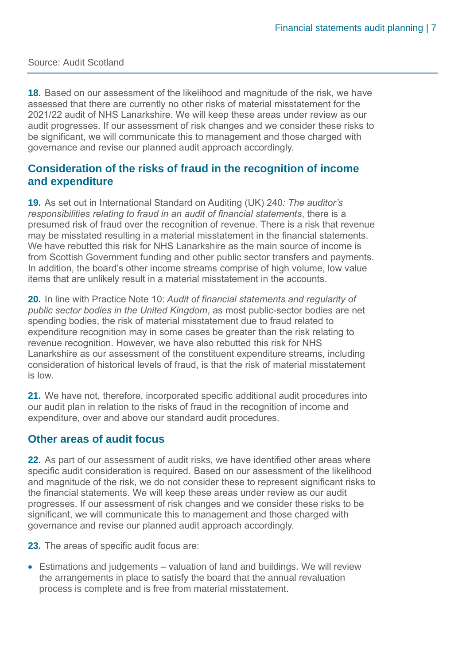#### Source: Audit Scotland

 **18.** Based on our assessment of the likelihood and magnitude of the risk, we have assessed that there are currently no other risks of material misstatement for the 2021/22 audit of NHS Lanarkshire. We will keep these areas under review as our audit progresses. If our assessment of risk changes and we consider these risks to be significant, we will communicate this to management and those charged with governance and revise our planned audit approach accordingly.

### **Consideration of the risks of fraud in the recognition of income and expenditure**

 **19.** As set out in International Standard on Auditing (UK) 240*: The auditor's responsibilities relating to fraud in an audit of financial statements*, there is a presumed risk of fraud over the recognition of revenue. There is a risk that revenue may be misstated resulting in a material misstatement in the financial statements. We have rebutted this risk for NHS Lanarkshire as the main source of income is from Scottish Government funding and other public sector transfers and payments. In addition, the board's other income streams comprise of high volume, low value items that are unlikely result in a material misstatement in the accounts.

 **20.** In line with Practice Note 10: *Audit of financial statements and regularity of public sector bodies in the United Kingdom*, as most public-sector bodies are net spending bodies, the risk of material misstatement due to fraud related to expenditure recognition may in some cases be greater than the risk relating to revenue recognition. However, we have also rebutted this risk for NHS Lanarkshire as our assessment of the constituent expenditure streams, including consideration of historical levels of fraud, is that the risk of material misstatement is low.

 **21.** We have not, therefore, incorporated specific additional audit procedures into our audit plan in relation to the risks of fraud in the recognition of income and expenditure, over and above our standard audit procedures.

### **Other areas of audit focus**

 **22.** As part of our assessment of audit risks, we have identified other areas where specific audit consideration is required. Based on our assessment of the likelihood and magnitude of the risk, we do not consider these to represent significant risks to the financial statements. We will keep these areas under review as our audit progresses. If our assessment of risk changes and we consider these risks to be significant, we will communicate this to management and those charged with governance and revise our planned audit approach accordingly.

**23.** The areas of specific audit focus are:

 • Estimations and judgements – valuation of land and buildings. We will review the arrangements in place to satisfy the board that the annual revaluation process is complete and is free from material misstatement.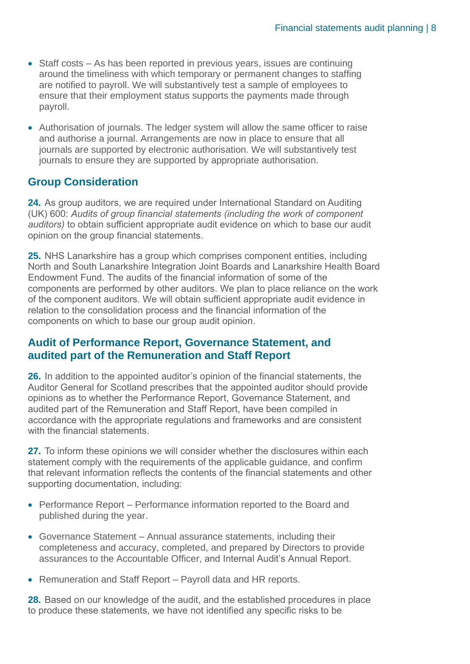- • Staff costs As has been reported in previous years, issues are continuing around the timeliness with which temporary or permanent changes to staffing are notified to payroll. We will substantively test a sample of employees to ensure that their employment status supports the payments made through payroll.
- • Authorisation of journals. The ledger system will allow the same officer to raise and authorise a journal. Arrangements are now in place to ensure that all journals are supported by electronic authorisation. We will substantively test journals to ensure they are supported by appropriate authorisation.

### **Group Consideration**

 **24.** As group auditors, we are required under International Standard on Auditing *auditors)* to obtain sufficient appropriate audit evidence on which to base our audit opinion on the group financial statements. (UK) 600: *Audits of group financial statements (including the work of component*

 **25.** NHS Lanarkshire has a group which comprises component entities, including North and South Lanarkshire Integration Joint Boards and Lanarkshire Health Board Endowment Fund. The audits of the financial information of some of the components are performed by other auditors. We plan to place reliance on the work of the component auditors. We will obtain sufficient appropriate audit evidence in relation to the consolidation process and the financial information of the components on which to base our group audit opinion.

### **Audit of Performance Report, Governance Statement, and audited part of the Remuneration and Staff Report**

 **26.** In addition to the appointed auditor's opinion of the financial statements, the Auditor General for Scotland prescribes that the appointed auditor should provide opinions as to whether the Performance Report, Governance Statement, and audited part of the Remuneration and Staff Report, have been compiled in accordance with the appropriate regulations and frameworks and are consistent with the financial statements.

 **27.** To inform these opinions we will consider whether the disclosures within each statement comply with the requirements of the applicable guidance, and confirm that relevant information reflects the contents of the financial statements and other supporting documentation, including:

- • Performance Report Performance information reported to the Board and published during the year.
- • Governance Statement Annual assurance statements, including their completeness and accuracy, completed, and prepared by Directors to provide assurances to the Accountable Officer, and Internal Audit's Annual Report.
- Remuneration and Staff Report Payroll data and HR reports.

 **28.** Based on our knowledge of the audit, and the established procedures in place to produce these statements, we have not identified any specific risks to be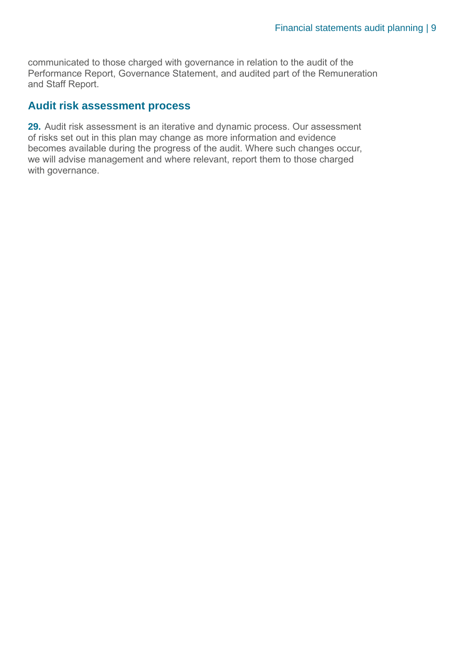communicated to those charged with governance in relation to the audit of the Performance Report, Governance Statement, and audited part of the Remuneration and Staff Report.

### **Audit risk assessment process**

 **29.** Audit risk assessment is an iterative and dynamic process. Our assessment of risks set out in this plan may change as more information and evidence becomes available during the progress of the audit. Where such changes occur, we will advise management and where relevant, report them to those charged with governance.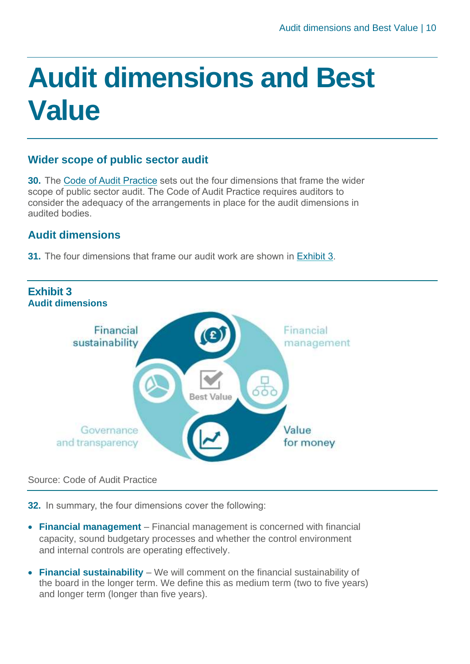## <span id="page-9-0"></span> **Audit dimensions and Best Value**

### **Wider scope of public sector audit**

 **30.** The Code of Audit [Practice](https://www.audit-scotland.gov.uk/uploads/docs/report/2016/code_audit_practice_16_0.pdf) sets out the four dimensions that frame the wider scope of public sector audit. The Code of Audit Practice requires auditors to consider the adequacy of the arrangements in place for the audit dimensions in audited bodies.

### **Audit dimensions**

**31.** The four dimensions that frame our audit work are shown in [Exhibit](#page-9-1) 3.

<span id="page-9-1"></span>

### Source: Code of Audit Practice

**32.** In summary, the four dimensions cover the following:

- • **Financial management**  Financial management is concerned with financial capacity, sound budgetary processes and whether the control environment and internal controls are operating effectively.
- • **Financial sustainability**  We will comment on the financial sustainability of the board in the longer term. We define this as medium term (two to five years) and longer term (longer than five years).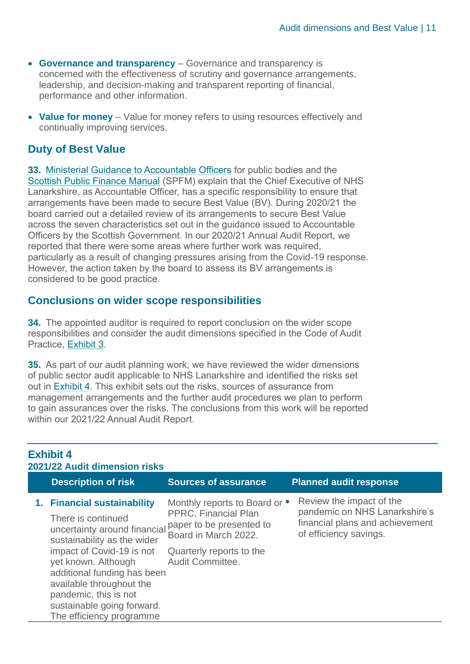- **Governance and transparency**  Governance and transparency is  concerned with the effectiveness of scrutiny and governance arrangements, leadership, and decision-making and transparent reporting of financial, performance and other information.
- Value for money Value for money refers to using resources effectively and continually improving services.

### **Duty of Best Value**

**33.** Ministerial Guidance to [Accountable](https://www.gov.scot/publications/best-value-public-services-guidance-accountable-officers/) Officers for public bodies and the Scottish [Public Finance](https://www.gov.scot/publications/scottish-public-finance-manual/background-and-applicability/background-and-applicability/) Manual (SPFM) explain that the Chief Executive of NHS Lanarkshire, as Accountable Officer, has a specific responsibility to ensure that arrangements have been made to secure Best Value (BV). During 2020/21 the board carried out a detailed review of its arrangements to secure Best Value across the seven characteristics set out in the guidance issued to Accountable Officers by the Scottish Government. In our 2020/21 Annual Audit Report, we reported that there were some areas where further work was required, particularly as a result of changing pressures arising from the Covid-19 response. However, the action taken by the board to assess its BV arrangements is considered to be good practice.

### **Conclusions on wider scope responsibilities**

**34.** The appointed auditor is required to report conclusion on the wider scope responsibilities and consider the audit dimensions specified in the Code of Audit Practice, [Exhibit](#page-9-1) 3.

**35.** As part of our audit planning work, we have reviewed the wider dimensions of public sector audit applicable to NHS Lanarkshire and identified the risks set out in **[Exhibit](#page-10-0) 4**. This exhibit sets out the risks, sources of assurance from management arrangements and the further audit procedures we plan to perform to gain assurances over the risks. The conclusions from this work will be reported within our 2021/22 Annual Audit Report.

### <span id="page-10-0"></span>**Exhibit 4 2021/22 Audit dimension risks**

| <b>Description of risk</b>                                                                                                                                                                                                                                                                                         | <b>Sources of assurance</b>                                                                                                                                      | <b>Planned audit response</b>                                                                                          |
|--------------------------------------------------------------------------------------------------------------------------------------------------------------------------------------------------------------------------------------------------------------------------------------------------------------------|------------------------------------------------------------------------------------------------------------------------------------------------------------------|------------------------------------------------------------------------------------------------------------------------|
| 1. Financial sustainability<br>There is continued<br>uncertainty around financial<br>sustainability as the wider<br>impact of Covid-19 is not<br>yet known. Although<br>additional funding has been<br>available throughout the<br>pandemic, this is not<br>sustainable going forward.<br>The efficiency programme | Monthly reports to Board or •<br><b>PPRC.</b> Financial Plan<br>paper to be presented to<br>Board in March 2022.<br>Quarterly reports to the<br>Audit Committee. | Review the impact of the<br>pandemic on NHS Lanarkshire's<br>financial plans and achievement<br>of efficiency savings. |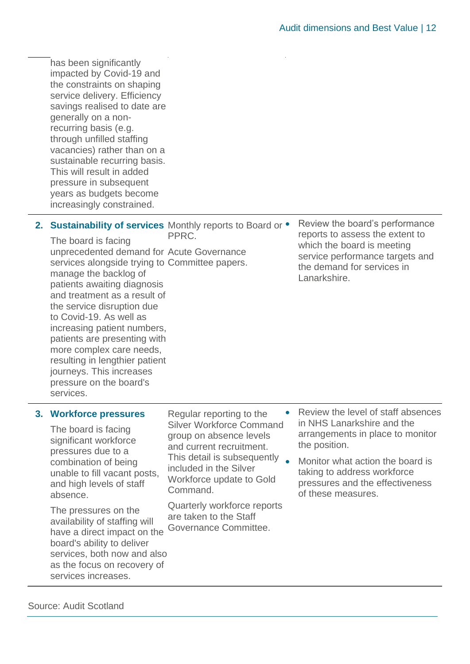the constraints on shaping service delivery. Efficiency savings realised to date are generally on a non- through unfilled staffing vacancies) rather than on a sustainable recurring basis. This will result in added pressure in subsequent has been significantly impacted by Covid-19 and recurring basis (e.g. years as budgets become increasingly constrained.

2. **Sustainability of services** Monthly reports to

 The board is facing unprecedented demand for services alongside trying to manage the backlog of and treatment as a result of the service disruption due increasing patient numbers, patients are presenting with more complex care needs, resulting in lengthier patient pressure on the board's patients awaiting diagnosis to Covid-19. As well as journeys. This increases services.

PPRC. The reports to assess the extent to which the board is meeting the demand for services in Review the board's performance Acute Governance which the board is meeting<br>Committee papers. the demand for services in Lanarkshire.

### **3. Workforce pressures**

 The board is facing significant workforce pressures due to a combination of being unable to fill vacant posts, and high levels of staff absence.

 The pressures on the availability of staffing will have a direct impact on the services, both now and also as the focus on recovery of board's ability to deliver services increases.

 Silver Workforce Command and current recruitment. included in the Silver Workforce update to Gold Regular reporting to the group on absence levels This detail is subsequently  $\bullet$ Command.

 are taken to the Staff Quarterly workforce reports Governance Committee.

- • Review the level of staff absences in NHS Lanarkshire and the arrangements in place to monitor the position.
- • Monitor what action the board is taking to address workforce pressures and the effectiveness of these measures.

Source: Audit Scotland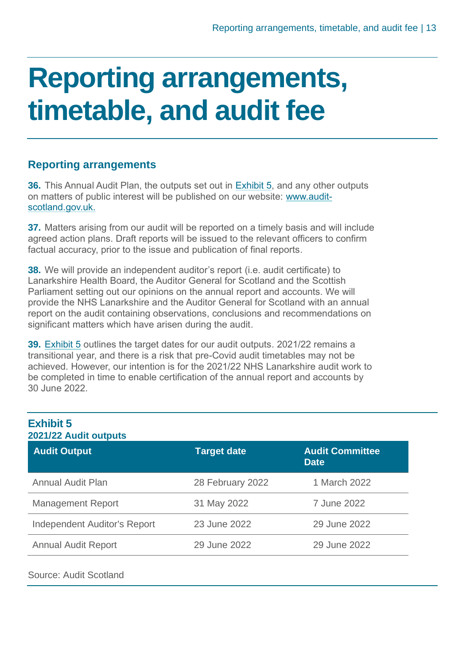### <span id="page-12-0"></span> **timetable, and audit fee Reporting arrangements,**

### **Reporting arrangements**

**36.** This Annual Audit Plan, the outputs set out in **[Exhibit](#page-12-1) 5**, and any other outputs on matters of public interest will be published on our website: [www.audit](http://www.audit-scotland.gov.uk./)[scotland.gov.uk.](http://www.audit-scotland.gov.uk./)

 **37.** Matters arising from our audit will be reported on a timely basis and will include agreed action plans. Draft reports will be issued to the relevant officers to confirm factual accuracy, prior to the issue and publication of final reports.

 **38.** We will provide an independent auditor's report (i.e. audit certificate) to Lanarkshire Health Board, the Auditor General for Scotland and the Scottish Parliament setting out our opinions on the annual report and accounts. We will provide the NHS Lanarkshire and the Auditor General for Scotland with an annual report on the audit containing observations, conclusions and recommendations on significant matters which have arisen during the audit.

 **39.** [Exhibit](#page-12-1) 5 outlines the target dates for our audit outputs. 2021/22 remains a transitional year, and there is a risk that pre-Covid audit timetables may not be achieved. However, our intention is for the 2021/22 NHS Lanarkshire audit work to be completed in time to enable certification of the annual report and accounts by 30 June 2022.

<span id="page-12-1"></span>

| <b>Exhibit 5</b><br>2021/22 Audit outputs |                    |                                       |  |
|-------------------------------------------|--------------------|---------------------------------------|--|
| <b>Audit Output</b>                       | <b>Target date</b> | <b>Audit Committee</b><br><b>Date</b> |  |
| <b>Annual Audit Plan</b>                  | 28 February 2022   | 1 March 2022                          |  |
| <b>Management Report</b>                  | 31 May 2022        | 7 June 2022                           |  |
| <b>Independent Auditor's Report</b>       | 23 June 2022       | 29 June 2022                          |  |
| <b>Annual Audit Report</b>                | 29 June 2022       | 29 June 2022                          |  |

### Source: Audit Scotland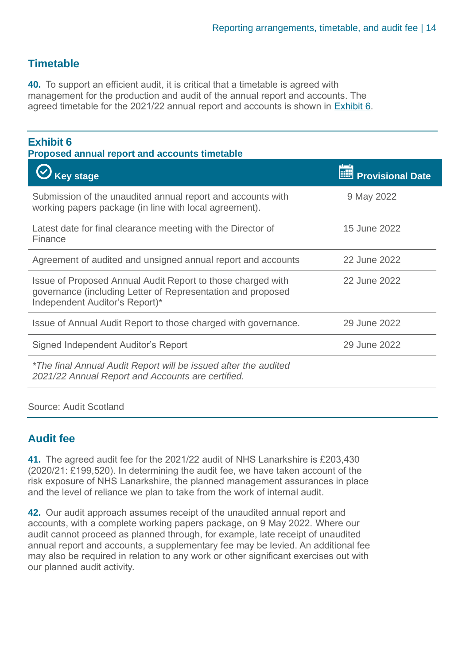### **Timetable**

 **40.** To support an efficient audit, it is critical that a timetable is agreed with management for the production and audit of the annual report and accounts. The agreed timetable for the 2021/22 annual report and accounts is shown in [Exhibit](#page-13-0) 6.

### <span id="page-13-0"></span>**Exhibit 6**

**Proposed annual report and accounts timetable** 

| <b>Key stage</b>                                                                                                                                             | <b>Provisional Date</b> |
|--------------------------------------------------------------------------------------------------------------------------------------------------------------|-------------------------|
| Submission of the unaudited annual report and accounts with<br>working papers package (in line with local agreement).                                        | 9 May 2022              |
| Latest date for final clearance meeting with the Director of<br>Finance                                                                                      | 15 June 2022            |
| Agreement of audited and unsigned annual report and accounts                                                                                                 | 22 June 2022            |
| Issue of Proposed Annual Audit Report to those charged with<br>governance (including Letter of Representation and proposed<br>Independent Auditor's Report)* | 22 June 2022            |
| Issue of Annual Audit Report to those charged with governance.                                                                                               | 29 June 2022            |
| Signed Independent Auditor's Report                                                                                                                          | 29 June 2022            |
| *The final Annual Audit Report will be issued after the audited<br>2021/22 Annual Report and Accounts are certified.                                         |                         |

#### Source: Audit Scotland

### **Audit fee**

 **41.** The agreed audit fee for the 2021/22 audit of NHS Lanarkshire is £203,430 (2020/21: £199,520). In determining the audit fee, we have taken account of the risk exposure of NHS Lanarkshire, the planned management assurances in place and the level of reliance we plan to take from the work of internal audit.

 **42.** Our audit approach assumes receipt of the unaudited annual report and accounts, with a complete working papers package, on 9 May 2022. Where our audit cannot proceed as planned through, for example, late receipt of unaudited annual report and accounts, a supplementary fee may be levied. An additional fee may also be required in relation to any work or other significant exercises out with our planned audit activity.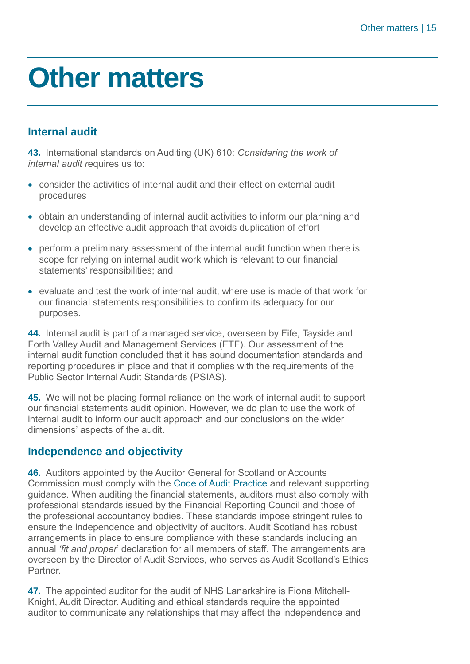### <span id="page-14-0"></span>**Other matters**

### **Internal audit**

 **43.** International standards on Auditing (UK) 610: *Considering the work of internal audit r*equires us to:

- • consider the activities of internal audit and their effect on external audit procedures
- • obtain an understanding of internal audit activities to inform our planning and develop an effective audit approach that avoids duplication of effort
- • perform a preliminary assessment of the internal audit function when there is scope for relying on internal audit work which is relevant to our financial statements' responsibilities; and
- • evaluate and test the work of internal audit, where use is made of that work for our financial statements responsibilities to confirm its adequacy for our purposes.

 **44.** Internal audit is part of a managed service, overseen by Fife, Tayside and Forth Valley Audit and Management Services (FTF). Our assessment of the internal audit function concluded that it has sound documentation standards and reporting procedures in place and that it complies with the requirements of the Public Sector Internal Audit Standards (PSIAS).

 **45.** We will not be placing formal reliance on the work of internal audit to support our financial statements audit opinion. However, we do plan to use the work of internal audit to inform our audit approach and our conclusions on the wider dimensions' aspects of the audit.

### **Independence and objectivity**

Commission must comply with the Code of Audit [Practice](https://www.audit-scotland.gov.uk/uploads/docs/report/2016/code_audit_practice_16_0.pdf) and relevant supporting guidance. When auditing the financial statements, auditors must also comply with professional standards issued by the Financial Reporting Council and those of the professional accountancy bodies. These standards impose stringent rules to ensure the independence and objectivity of auditors. Audit Scotland has robust arrangements in place to ensure compliance with these standards including an  annual *'fit and proper*' declaration for all members of staff. The arrangements are overseen by the Director of Audit Services, who serves as Audit Scotland's Ethics **46.** Auditors appointed by the Auditor General for Scotland or Accounts Partner.

 **47.** The appointed auditor for the audit of NHS Lanarkshire is Fiona Mitchell- Knight, Audit Director. Auditing and ethical standards require the appointed auditor to communicate any relationships that may affect the independence and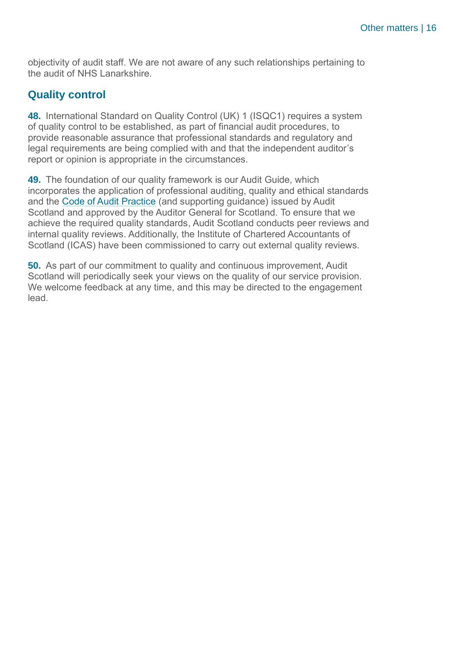objectivity of audit staff. We are not aware of any such relationships pertaining to the audit of NHS Lanarkshire.

### **Quality control**

 **48.** International Standard on Quality Control (UK) 1 (ISQC1) requires a system of quality control to be established, as part of financial audit procedures, to provide reasonable assurance that professional standards and regulatory and legal requirements are being complied with and that the independent auditor's report or opinion is appropriate in the circumstances.

 **49.** The foundation of our quality framework is our Audit Guide, which incorporates the application of professional auditing, quality and ethical standards and the Code of Audit Practice (and supporting guidance) issued by Audit Scotland and approved by the Auditor General for Scotland. To ensure that we achieve the required quality standards, Audit Scotland conducts peer reviews and internal quality reviews. Additionally, the Institute of Chartered Accountants of Scotland (ICAS) have been commissioned to carry out external quality reviews.

 **50.** As part of our commitment to quality and continuous improvement, Audit Scotland will periodically seek your views on the quality of our service provision. We welcome feedback at any time, and this may be directed to the engagement lead.